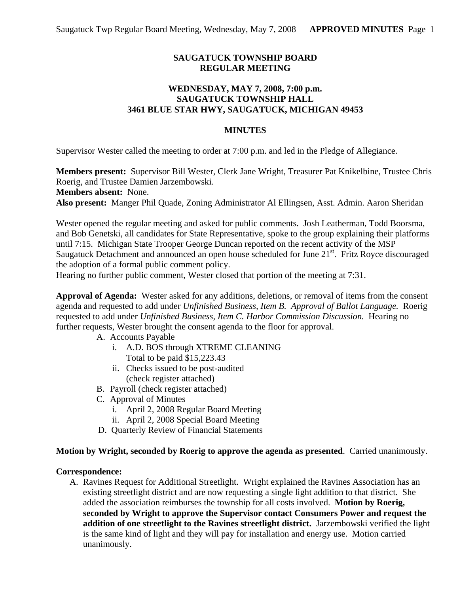# **SAUGATUCK TOWNSHIP BOARD REGULAR MEETING**

## **WEDNESDAY, MAY 7, 2008, 7:00 p.m. SAUGATUCK TOWNSHIP HALL 3461 BLUE STAR HWY, SAUGATUCK, MICHIGAN 49453**

#### **MINUTES**

Supervisor Wester called the meeting to order at 7:00 p.m. and led in the Pledge of Allegiance.

**Members present:** Supervisor Bill Wester, Clerk Jane Wright, Treasurer Pat Knikelbine, Trustee Chris Roerig, and Trustee Damien Jarzembowski. **Members absent:** None.

**Also present:** Manger Phil Quade, Zoning Administrator Al Ellingsen, Asst. Admin. Aaron Sheridan

Wester opened the regular meeting and asked for public comments. Josh Leatherman, Todd Boorsma, and Bob Genetski, all candidates for State Representative, spoke to the group explaining their platforms until 7:15. Michigan State Trooper George Duncan reported on the recent activity of the MSP Saugatuck Detachment and announced an open house scheduled for June 21<sup>st</sup>. Fritz Royce discouraged the adoption of a formal public comment policy.

Hearing no further public comment, Wester closed that portion of the meeting at 7:31.

**Approval of Agenda:** Wester asked for any additions, deletions, or removal of items from the consent agenda and requested to add under *Unfinished Business, Item B. Approval of Ballot Language.* Roerig requested to add under *Unfinished Business, Item C. Harbor Commission Discussion.* Hearing no further requests, Wester brought the consent agenda to the floor for approval.

- A. Accounts Payable
	- i. A.D. BOS through XTREME CLEANING Total to be paid \$15,223.43
	- ii. Checks issued to be post-audited (check register attached)
- B. Payroll (check register attached)
- C. Approval of Minutes
	- i. April 2, 2008 Regular Board Meeting
	- ii. April 2, 2008 Special Board Meeting
- D. Quarterly Review of Financial Statements

#### **Motion by Wright, seconded by Roerig to approve the agenda as presented**. Carried unanimously.

## **Correspondence:**

A. Ravines Request for Additional Streetlight. Wright explained the Ravines Association has an existing streetlight district and are now requesting a single light addition to that district. She added the association reimburses the township for all costs involved. **Motion by Roerig, seconded by Wright to approve the Supervisor contact Consumers Power and request the addition of one streetlight to the Ravines streetlight district.** Jarzembowski verified the light is the same kind of light and they will pay for installation and energy use. Motion carried unanimously.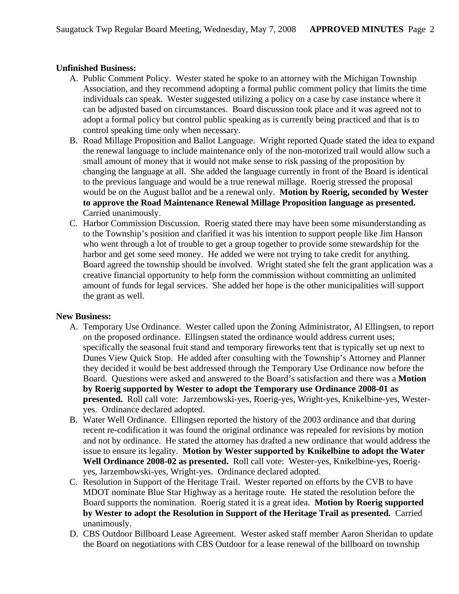## **Unfinished Business:**

- A. Public Comment Policy. Wester stated he spoke to an attorney with the Michigan Township Association, and they recommend adopting a formal public comment policy that limits the time individuals can speak. Wester suggested utilizing a policy on a case by case instance where it can be adjusted based on circumstances. Board discussion took place and it was agreed not to adopt a formal policy but control public speaking as is currently being practiced and that is to control speaking time only when necessary.
- B. Road Millage Proposition and Ballot Language. Wright reported Quade stated the idea to expand the renewal language to include maintenance only of the non-motorized trail would allow such a small amount of money that it would not make sense to risk passing of the proposition by changing the language at all. She added the language currently in front of the Board is identical to the previous language and would be a true renewal millage. Roerig stressed the proposal would be on the August ballot and be a renewal only. **Motion by Roerig, seconded by Wester to approve the Road Maintenance Renewal Millage Proposition language as presented.**  Carried unanimously.
- C. Harbor Commission Discussion. Roerig stated there may have been some misunderstanding as to the Township's position and clarified it was his intention to support people like Jim Hanson who went through a lot of trouble to get a group together to provide some stewardship for the harbor and get some seed money. He added we were not trying to take credit for anything. Board agreed the township should be involved. Wright stated she felt the grant application was a creative financial opportunity to help form the commission without committing an unlimited amount of funds for legal services. She added her hope is the other municipalities will support the grant as well.

#### **New Business:**

- A. Temporary Use Ordinance. Wester called upon the Zoning Administrator, Al Ellingsen, to report on the proposed ordinance. Ellingsen stated the ordinance would address current uses; specifically the seasonal fruit stand and temporary fireworks tent that is typically set up next to Dunes View Quick Stop. He added after consulting with the Township's Attorney and Planner they decided it would be best addressed through the Temporary Use Ordinance now before the Board. Questions were asked and answered to the Board's satisfaction and there was a **Motion by Roerig supported by Wester to adopt the Temporary use Ordinance 2008-01 as presented.** Roll call vote: Jarzembowski-yes, Roerig-yes, Wright-yes, Knikelbine-yes, Westeryes. Ordinance declared adopted.
- B. Water Well Ordinance. Ellingsen reported the history of the 2003 ordinance and that during recent re-codification it was found the original ordinance was repealed for revisions by motion and not by ordinance. He stated the attorney has drafted a new ordinance that would address the issue to ensure its legality. **Motion by Wester supported by Knikelbine to adopt the Water Well Ordinance 2008-02 as presented.** Roll call vote: Wester-yes, Knikelbine-yes, Roerigyes, Jarzembowski-yes, Wright-yes. Ordinance declared adopted.
- C. Resolution in Support of the Heritage Trail. Wester reported on efforts by the CVB to have MDOT nominate Blue Star Highway as a heritage route. He stated the resolution before the Board supports the nomination. Roerig stated it is a great idea. **Motion by Roerig supported by Wester to adopt the Resolution in Support of the Heritage Trail as presented.** Carried unanimously.
- D. CBS Outdoor Billboard Lease Agreement. Wester asked staff member Aaron Sheridan to update the Board on negotiations with CBS Outdoor for a lease renewal of the billboard on township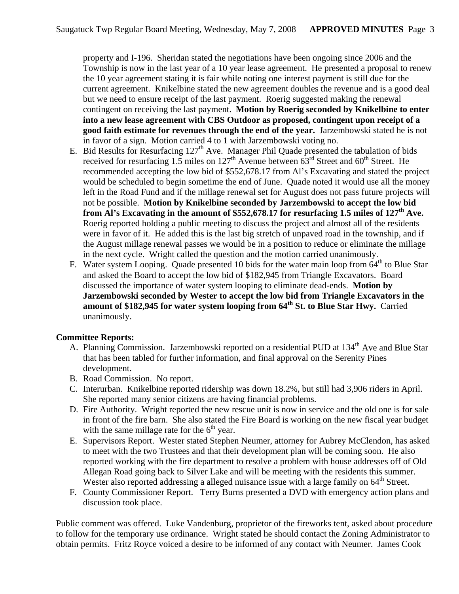property and I-196. Sheridan stated the negotiations have been ongoing since 2006 and the Township is now in the last year of a 10 year lease agreement. He presented a proposal to renew the 10 year agreement stating it is fair while noting one interest payment is still due for the current agreement. Knikelbine stated the new agreement doubles the revenue and is a good deal but we need to ensure receipt of the last payment. Roerig suggested making the renewal contingent on receiving the last payment. **Motion by Roerig seconded by Knikelbine to enter into a new lease agreement with CBS Outdoor as proposed, contingent upon receipt of a good faith estimate for revenues through the end of the year.** Jarzembowski stated he is not in favor of a sign. Motion carried 4 to 1 with Jarzembowski voting no.

- E. Bid Results for Resurfacing  $127<sup>th</sup>$  Ave. Manager Phil Quade presented the tabulation of bids received for resurfacing 1.5 miles on 127<sup>th</sup> Avenue between  $63<sup>rd</sup>$  Street and  $60<sup>th</sup>$  Street. He recommended accepting the low bid of \$552,678.17 from Al's Excavating and stated the project would be scheduled to begin sometime the end of June. Quade noted it would use all the money left in the Road Fund and if the millage renewal set for August does not pass future projects will not be possible. **Motion by Knikelbine seconded by Jarzembowski to accept the low bid**  from Al's Excavating in the amount of \$552,678.17 for resurfacing 1.5 miles of 127<sup>th</sup> Ave. Roerig reported holding a public meeting to discuss the project and almost all of the residents were in favor of it. He added this is the last big stretch of unpaved road in the township, and if the August millage renewal passes we would be in a position to reduce or eliminate the millage in the next cycle. Wright called the question and the motion carried unanimously.
- F. Water system Looping. Quade presented 10 bids for the water main loop from  $64<sup>th</sup>$  to Blue Star and asked the Board to accept the low bid of \$182,945 from Triangle Excavators. Board discussed the importance of water system looping to eliminate dead-ends. **Motion by Jarzembowski seconded by Wester to accept the low bid from Triangle Excavators in the**  amount of \$182,945 for water system looping from 64<sup>th</sup> St. to Blue Star Hwy. Carried unanimously.

## **Committee Reports:**

- A. Planning Commission. Jarzembowski reported on a residential PUD at 134<sup>th</sup> Ave and Blue Star that has been tabled for further information, and final approval on the Serenity Pines development.
- B. Road Commission. No report.
- C. Interurban. Knikelbine reported ridership was down 18.2%, but still had 3,906 riders in April. She reported many senior citizens are having financial problems.
- D. Fire Authority. Wright reported the new rescue unit is now in service and the old one is for sale in front of the fire barn. She also stated the Fire Board is working on the new fiscal year budget with the same millage rate for the  $6<sup>th</sup>$  year.
- E. Supervisors Report. Wester stated Stephen Neumer, attorney for Aubrey McClendon, has asked to meet with the two Trustees and that their development plan will be coming soon. He also reported working with the fire department to resolve a problem with house addresses off of Old Allegan Road going back to Silver Lake and will be meeting with the residents this summer. Wester also reported addressing a alleged nuisance issue with a large family on  $64<sup>th</sup>$  Street.
- F. County Commissioner Report. Terry Burns presented a DVD with emergency action plans and discussion took place.

Public comment was offered. Luke Vandenburg, proprietor of the fireworks tent, asked about procedure to follow for the temporary use ordinance. Wright stated he should contact the Zoning Administrator to obtain permits. Fritz Royce voiced a desire to be informed of any contact with Neumer. James Cook